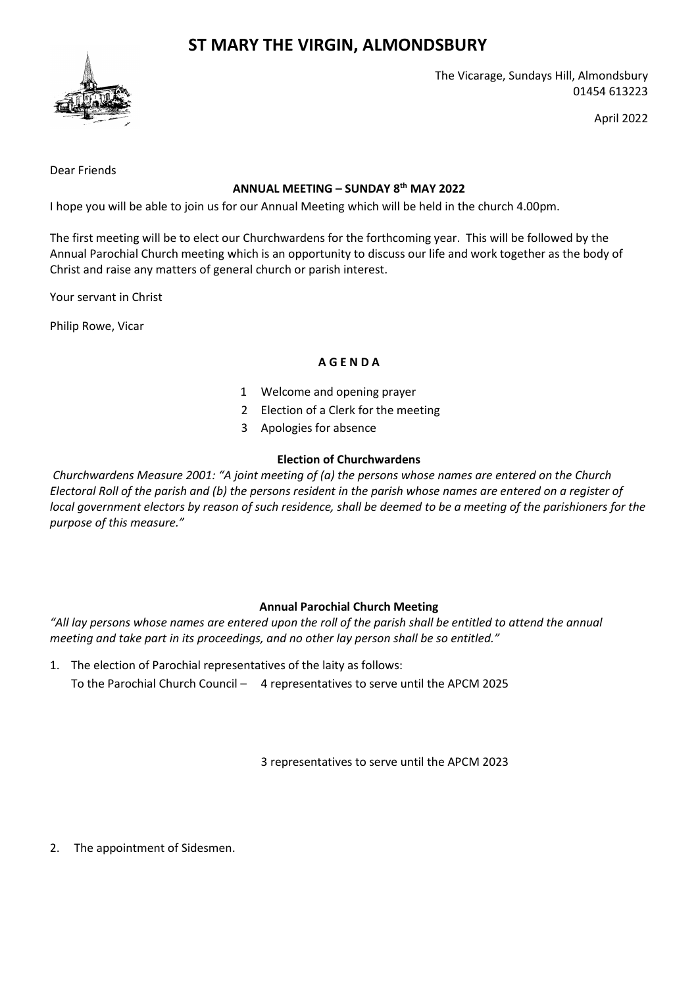# **ST MARY THE VIRGIN, ALMONDSBURY**



The Vicarage, Sundays Hill, Almondsbury 01454 613223

April 2022

Dear Friends

### **ANNUAL MEETING – SUNDAY 8 th MAY 2022**

I hope you will be able to join us for our Annual Meeting which will be held in the church 4.00pm.

The first meeting will be to elect our Churchwardens for the forthcoming year. This will be followed by the Annual Parochial Church meeting which is an opportunity to discuss our life and work together as the body of Christ and raise any matters of general church or parish interest.

Your servant in Christ

Philip Rowe, Vicar

### **A G E N D A**

- 1 Welcome and opening prayer
- 2 Election of a Clerk for the meeting
- 3 Apologies for absence

### **Election of Churchwardens**

*Churchwardens Measure 2001: "A joint meeting of (a) the persons whose names are entered on the Church Electoral Roll of the parish and (b) the persons resident in the parish whose names are entered on a register of local government electors by reason of such residence, shall be deemed to be a meeting of the parishioners for the purpose of this measure."*

# **Annual Parochial Church Meeting**

*"All lay persons whose names are entered upon the roll of the parish shall be entitled to attend the annual meeting and take part in its proceedings, and no other lay person shall be so entitled."*

1. The election of Parochial representatives of the laity as follows: To the Parochial Church Council – 4 representatives to serve until the APCM 2025

3 representatives to serve until the APCM 2023

2. The appointment of Sidesmen.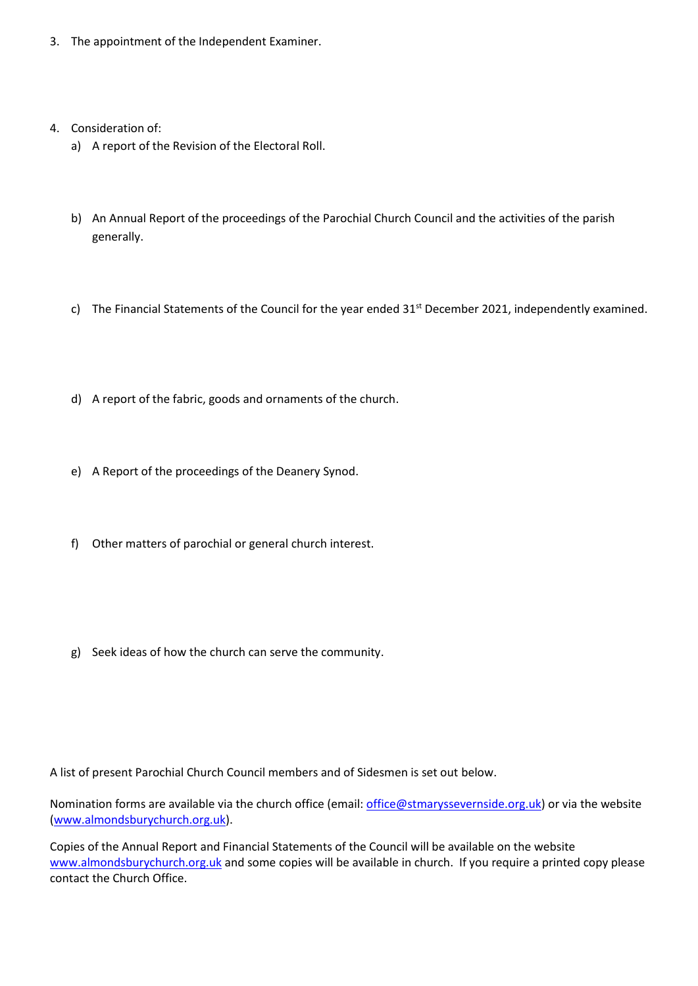- 3. The appointment of the Independent Examiner.
- 4. Consideration of:
	- a) A report of the Revision of the Electoral Roll.
	- b) An Annual Report of the proceedings of the Parochial Church Council and the activities of the parish generally.
	- c) The Financial Statements of the Council for the year ended 31<sup>st</sup> December 2021, independently examined.
	- d) A report of the fabric, goods and ornaments of the church.
	- e) A Report of the proceedings of the Deanery Synod.
	- f) Other matters of parochial or general church interest.
	- g) Seek ideas of how the church can serve the community.

A list of present Parochial Church Council members and of Sidesmen is set out below.

Nomination forms are available via the church office (email[: office@stmaryssevernside.org.uk\)](mailto:office@stmaryssevernside.org.uk) or via the website [\(www.almondsburychurch.org.uk\)](http://www.almondsburychurch.org.uk/).

Copies of the Annual Report and Financial Statements of the Council will be available on the website [www.almondsburychurch.org.uk](http://www.almondsburychurch.org.uk/) and some copies will be available in church. If you require a printed copy please contact the Church Office.